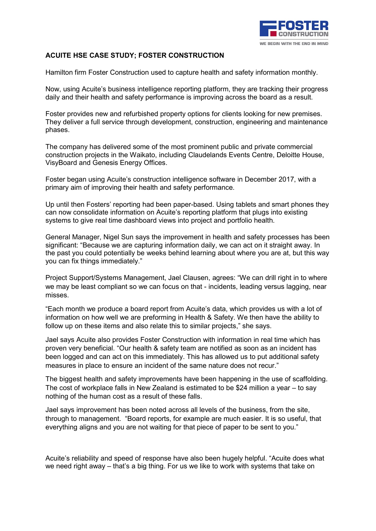

## **ACUITE HSE CASE STUDY; FOSTER CONSTRUCTION**

Hamilton firm Foster Construction used to capture health and safety information monthly.

Now, using Acuite's business intelligence reporting platform, they are tracking their progress daily and their health and safety performance is improving across the board as a result.

Foster provides new and refurbished property options for clients looking for new premises. They deliver a full service through development, construction, engineering and maintenance phases.

The company has delivered some of the most prominent public and private commercial construction projects in the Waikato, including Claudelands Events Centre, Deloitte House, VisyBoard and Genesis Energy Offices.

Foster began using Acuite's construction intelligence software in December 2017, with a primary aim of improving their health and safety performance.

Up until then Fosters' reporting had been paper-based. Using tablets and smart phones they can now consolidate information on Acuite's reporting platform that plugs into existing systems to give real time dashboard views into project and portfolio health.

General Manager, Nigel Sun says the improvement in health and safety processes has been significant: "Because we are capturing information daily, we can act on it straight away. In the past you could potentially be weeks behind learning about where you are at, but this way you can fix things immediately."

Project Support/Systems Management, Jael Clausen, agrees: "We can drill right in to where we may be least compliant so we can focus on that - incidents, leading versus lagging, near misses.

"Each month we produce a board report from Acuite's data, which provides us with a lot of information on how well we are preforming in Health & Safety. We then have the ability to follow up on these items and also relate this to similar projects," she says.

Jael says Acuite also provides Foster Construction with information in real time which has proven very beneficial. "Our health & safety team are notified as soon as an incident has been logged and can act on this immediately. This has allowed us to put additional safety measures in place to ensure an incident of the same nature does not recur."

The biggest health and safety improvements have been happening in the use of scaffolding. The cost of workplace falls in New Zealand is estimated to be \$24 million a year – to say nothing of the human cost as a result of these falls.

Jael says improvement has been noted across all levels of the business, from the site, through to management. "Board reports, for example are much easier. It is so useful, that everything aligns and you are not waiting for that piece of paper to be sent to you."

Acuite's reliability and speed of response have also been hugely helpful. "Acuite does what we need right away – that's a big thing. For us we like to work with systems that take on